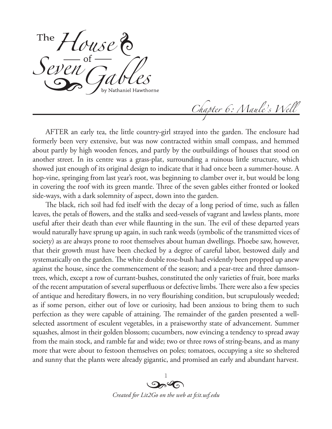*House* Seven Gables

*Chapter 6: Maule's Well*

AFTER an early tea, the little country-girl strayed into the garden. The enclosure had formerly been very extensive, but was now contracted within small compass, and hemmed about partly by high wooden fences, and partly by the outbuildings of houses that stood on another street. In its centre was a grass-plat, surrounding a ruinous little structure, which showed just enough of its original design to indicate that it had once been a summer-house. A hop-vine, springing from last year's root, was beginning to clamber over it, but would be long in covering the roof with its green mantle. Three of the seven gables either fronted or looked side-ways, with a dark solemnity of aspect, down into the garden.

The black, rich soil had fed itself with the decay of a long period of time, such as fallen leaves, the petals of flowers, and the stalks and seed-vessels of vagrant and lawless plants, more useful after their death than ever while flaunting in the sun. The evil of these departed years would naturally have sprung up again, in such rank weeds (symbolic of the transmitted vices of society) as are always prone to root themselves about human dwellings. Phoebe saw, however, that their growth must have been checked by a degree of careful labor, bestowed daily and systematically on the garden. The white double rose-bush had evidently been propped up anew against the house, since the commencement of the season; and a pear-tree and three damsontrees, which, except a row of currant-bushes, constituted the only varieties of fruit, bore marks of the recent amputation of several superfluous or defective limbs. There were also a few species of antique and hereditary flowers, in no very flourishing condition, but scrupulously weeded; as if some person, either out of love or curiosity, had been anxious to bring them to such perfection as they were capable of attaining. The remainder of the garden presented a wellselected assortment of esculent vegetables, in a praiseworthy state of advancement. Summer squashes, almost in their golden blossom; cucumbers, now evincing a tendency to spread away from the main stock, and ramble far and wide; two or three rows of string-beans, and as many more that were about to festoon themselves on poles; tomatoes, occupying a site so sheltered and sunny that the plants were already gigantic, and promised an early and abundant harvest.

> $\mathbb{I}$  $O_2$ *Created for Lit2Go on the web at fcit.usf.edu*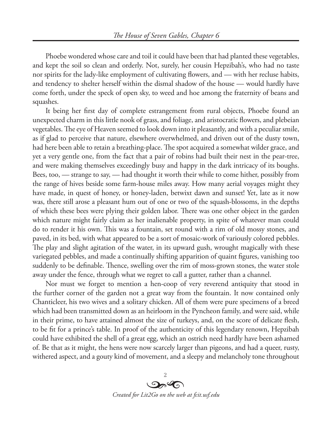Phoebe wondered whose care and toil it could have been that had planted these vegetables, and kept the soil so clean and orderly. Not, surely, her cousin Hepzibah's, who had no taste nor spirits for the lady-like employment of cultivating flowers, and — with her recluse habits, and tendency to shelter herself within the dismal shadow of the house — would hardly have come forth, under the speck of open sky, to weed and hoe among the fraternity of beans and squashes.

It being her first day of complete estrangement from rural objects, Phoebe found an unexpected charm in this little nook of grass, and foliage, and aristocratic flowers, and plebeian vegetables. The eye of Heaven seemed to look down into it pleasantly, and with a peculiar smile, as if glad to perceive that nature, elsewhere overwhelmed, and driven out of the dusty town, had here been able to retain a breathing-place. The spot acquired a somewhat wilder grace, and yet a very gentle one, from the fact that a pair of robins had built their nest in the pear-tree, and were making themselves exceedingly busy and happy in the dark intricacy of its boughs. Bees, too, — strange to say, — had thought it worth their while to come hither, possibly from the range of hives beside some farm-house miles away. How many aerial voyages might they have made, in quest of honey, or honey-laden, betwixt dawn and sunset! Yet, late as it now was, there still arose a pleasant hum out of one or two of the squash-blossoms, in the depths of which these bees were plying their golden labor. There was one other object in the garden which nature might fairly claim as her inalienable property, in spite of whatever man could do to render it his own. This was a fountain, set round with a rim of old mossy stones, and paved, in its bed, with what appeared to be a sort of mosaic-work of variously colored pebbles. The play and slight agitation of the water, in its upward gush, wrought magically with these variegated pebbles, and made a continually shifting apparition of quaint figures, vanishing too suddenly to be definable. Thence, swelling over the rim of moss-grown stones, the water stole away under the fence, through what we regret to call a gutter, rather than a channel.

Nor must we forget to mention a hen-coop of very reverend antiquity that stood in the further corner of the garden not a great way from the fountain. It now contained only Chanticleer, his two wives and a solitary chicken. All of them were pure specimens of a breed which had been transmitted down as an heirloom in the Pyncheon family, and were said, while in their prime, to have attained almost the size of turkeys, and, on the score of delicate flesh, to be fit for a prince's table. In proof of the authenticity of this legendary renown, Hepzibah could have exhibited the shell of a great egg, which an ostrich need hardly have been ashamed of. Be that as it might, the hens were now scarcely larger than pigeons, and had a queer, rusty, withered aspect, and a gouty kind of movement, and a sleepy and melancholy tone throughout

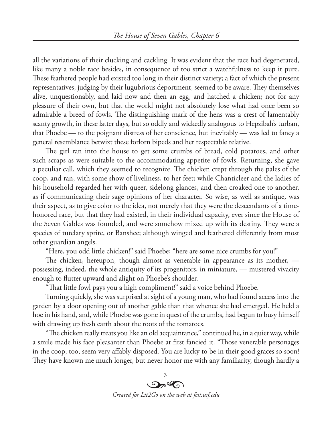all the variations of their clucking and cackling. It was evident that the race had degenerated, like many a noble race besides, in consequence of too strict a watchfulness to keep it pure. These feathered people had existed too long in their distinct variety; a fact of which the present representatives, judging by their lugubrious deportment, seemed to be aware. They themselves alive, unquestionably, and laid now and then an egg, and hatched a chicken; not for any pleasure of their own, but that the world might not absolutely lose what had once been so admirable a breed of fowls. The distinguishing mark of the hens was a crest of lamentably scanty growth, in these latter days, but so oddly and wickedly analogous to Hepzibah's turban, that Phoebe — to the poignant distress of her conscience, but inevitably — was led to fancy a general resemblance betwixt these forlorn bipeds and her respectable relative.

The girl ran into the house to get some crumbs of bread, cold potatoes, and other such scraps as were suitable to the accommodating appetite of fowls. Returning, she gave a peculiar call, which they seemed to recognize. The chicken crept through the pales of the coop, and ran, with some show of liveliness, to her feet; while Chanticleer and the ladies of his household regarded her with queer, sidelong glances, and then croaked one to another, as if communicating their sage opinions of her character. So wise, as well as antique, was their aspect, as to give color to the idea, not merely that they were the descendants of a timehonored race, but that they had existed, in their individual capacity, ever since the House of the Seven Gables was founded, and were somehow mixed up with its destiny. They were a species of tutelary sprite, or Banshee; although winged and feathered differently from most other guardian angels.

"Here, you odd little chicken!" said Phoebe; "here are some nice crumbs for you!"

The chicken, hereupon, though almost as venerable in appearance as its mother, possessing, indeed, the whole antiquity of its progenitors, in miniature, — mustered vivacity enough to flutter upward and alight on Phoebe's shoulder.

"That little fowl pays you a high compliment!" said a voice behind Phoebe.

Turning quickly, she was surprised at sight of a young man, who had found access into the garden by a door opening out of another gable than that whence she had emerged. He held a hoe in his hand, and, while Phoebe was gone in quest of the crumbs, had begun to busy himself with drawing up fresh earth about the roots of the tomatoes.

"The chicken really treats you like an old acquaintance," continued he, in a quiet way, while a smile made his face pleasanter than Phoebe at first fancied it. "Those venerable personages in the coop, too, seem very affably disposed. You are lucky to be in their good graces so soon! They have known me much longer, but never honor me with any familiarity, though hardly a

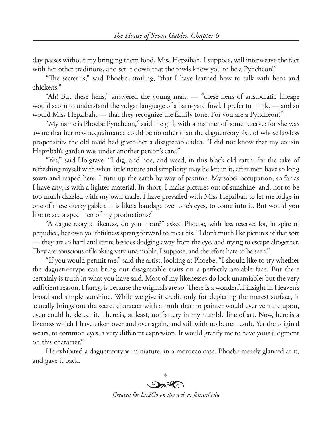day passes without my bringing them food. Miss Hepzibah, I suppose, will interweave the fact with her other traditions, and set it down that the fowls know you to be a Pyncheon!"

"The secret is," said Phoebe, smiling, "that I have learned how to talk with hens and chickens."

"Ah! But these hens," answered the young man, — "these hens of aristocratic lineage would scorn to understand the vulgar language of a barn-yard fowl. I prefer to think, — and so would Miss Hepzibah, — that they recognize the family tone. For you are a Pyncheon?"

"My name is Phoebe Pyncheon," said the girl, with a manner of some reserve; for she was aware that her new acquaintance could be no other than the daguerreotypist, of whose lawless propensities the old maid had given her a disagreeable idea. "I did not know that my cousin Hepzibah's garden was under another person's care."

"Yes," said Holgrave, "I dig, and hoe, and weed, in this black old earth, for the sake of refreshing myself with what little nature and simplicity may be left in it, after men have so long sown and reaped here. I turn up the earth by way of pastime. My sober occupation, so far as I have any, is with a lighter material. In short, I make pictures out of sunshine; and, not to be too much dazzled with my own trade, I have prevailed with Miss Hepzibah to let me lodge in one of these dusky gables. It is like a bandage over one's eyes, to come into it. But would you like to see a specimen of my productions?"

"A daguerreotype likeness, do you mean?" asked Phoebe, with less reserve; for, in spite of prejudice, her own youthfulness sprang forward to meet his. "I don't much like pictures of that sort — they are so hard and stern; besides dodging away from the eye, and trying to escape altogether. They are conscious of looking very unamiable, I suppose, and therefore hate to be seen."

"If you would permit me," said the artist, looking at Phoebe, "I should like to try whether the daguerreotype can bring out disagreeable traits on a perfectly amiable face. But there certainly is truth in what you have said. Most of my likenesses do look unamiable; but the very sufficient reason, I fancy, is because the originals are so. There is a wonderful insight in Heaven's broad and simple sunshine. While we give it credit only for depicting the merest surface, it actually brings out the secret character with a truth that no painter would ever venture upon, even could he detect it. There is, at least, no flattery in my humble line of art. Now, here is a likeness which I have taken over and over again, and still with no better result. Yet the original wears, to common eyes, a very different expression. It would gratify me to have your judgment on this character."

He exhibited a daguerreotype miniature, in a morocco case. Phoebe merely glanced at it, and gave it back.

4  $\mathcal{P}(\mathcal{A})$ *Created for Lit2Go on the web at fcit.usf.edu*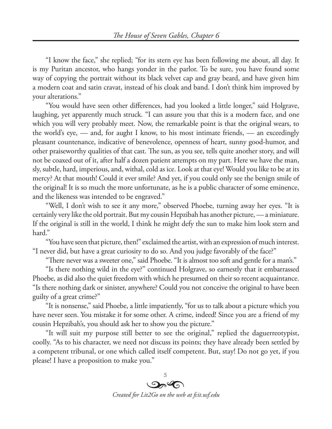"I know the face," she replied; "for its stern eye has been following me about, all day. It is my Puritan ancestor, who hangs yonder in the parlor. To be sure, you have found some way of copying the portrait without its black velvet cap and gray beard, and have given him a modern coat and satin cravat, instead of his cloak and band. I don't think him improved by your alterations."

"You would have seen other differences, had you looked a little longer," said Holgrave, laughing, yet apparently much struck. "I can assure you that this is a modern face, and one which you will very probably meet. Now, the remarkable point is that the original wears, to the world's eye, — and, for aught I know, to his most intimate friends, — an exceedingly pleasant countenance, indicative of benevolence, openness of heart, sunny good-humor, and other praiseworthy qualities of that cast. The sun, as you see, tells quite another story, and will not be coaxed out of it, after half a dozen patient attempts on my part. Here we have the man, sly, subtle, hard, imperious, and, withal, cold as ice. Look at that eye! Would you like to be at its mercy? At that mouth! Could it ever smile? And yet, if you could only see the benign smile of the original! It is so much the more unfortunate, as he is a public character of some eminence, and the likeness was intended to be engraved."

"Well, I don't wish to see it any more," observed Phoebe, turning away her eyes. "It is certainly very like the old portrait. But my cousin Hepzibah has another picture, — a miniature. If the original is still in the world, I think he might defy the sun to make him look stern and hard."

"You have seen that picture, then!" exclaimed the artist, with an expression of much interest. "I never did, but have a great curiosity to do so. And you judge favorably of the face?"

"There never was a sweeter one," said Phoebe. "It is almost too soft and gentle for a man's."

"Is there nothing wild in the eye?" continued Holgrave, so earnestly that it embarrassed Phoebe, as did also the quiet freedom with which he presumed on their so recent acquaintance. "Is there nothing dark or sinister, anywhere? Could you not conceive the original to have been guilty of a great crime?"

"It is nonsense," said Phoebe, a little impatiently, "for us to talk about a picture which you have never seen. You mistake it for some other. A crime, indeed! Since you are a friend of my cousin Hepzibah's, you should ask her to show you the picture."

"It will suit my purpose still better to see the original," replied the daguerreotypist, coolly. "As to his character, we need not discuss its points; they have already been settled by a competent tribunal, or one which called itself competent. But, stay! Do not go yet, if you please! I have a proposition to make you."

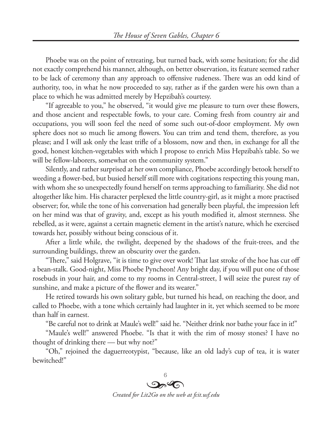Phoebe was on the point of retreating, but turned back, with some hesitation; for she did not exactly comprehend his manner, although, on better observation, its feature seemed rather to be lack of ceremony than any approach to offensive rudeness. There was an odd kind of authority, too, in what he now proceeded to say, rather as if the garden were his own than a place to which he was admitted merely by Hepzibah's courtesy.

"If agreeable to you," he observed, "it would give me pleasure to turn over these flowers, and those ancient and respectable fowls, to your care. Coming fresh from country air and occupations, you will soon feel the need of some such out-of-door employment. My own sphere does not so much lie among flowers. You can trim and tend them, therefore, as you please; and I will ask only the least trifle of a blossom, now and then, in exchange for all the good, honest kitchen-vegetables with which I propose to enrich Miss Hepzibah's table. So we will be fellow-laborers, somewhat on the community system."

Silently, and rather surprised at her own compliance, Phoebe accordingly betook herself to weeding a flower-bed, but busied herself still more with cogitations respecting this young man, with whom she so unexpectedly found herself on terms approaching to familiarity. She did not altogether like him. His character perplexed the little country-girl, as it might a more practised observer; for, while the tone of his conversation had generally been playful, the impression left on her mind was that of gravity, and, except as his youth modified it, almost sternness. She rebelled, as it were, against a certain magnetic element in the artist's nature, which he exercised towards her, possibly without being conscious of it.

After a little while, the twilight, deepened by the shadows of the fruit-trees, and the surrounding buildings, threw an obscurity over the garden.

"There," said Holgrave, "it is time to give over work! That last stroke of the hoe has cut off a bean-stalk. Good-night, Miss Phoebe Pyncheon! Any bright day, if you will put one of those rosebuds in your hair, and come to my rooms in Central-street, I will seize the purest ray of sunshine, and make a picture of the flower and its wearer."

He retired towards his own solitary gable, but turned his head, on reaching the door, and called to Phoebe, with a tone which certainly had laughter in it, yet which seemed to be more than half in earnest.

"Be careful not to drink at Maule's well!" said he. "Neither drink nor bathe your face in it!"

"Maule's well!" answered Phoebe. "Is that it with the rim of mossy stones? I have no thought of drinking there — but why not?"

"Oh," rejoined the daguerreotypist, "because, like an old lady's cup of tea, it is water bewitched!"

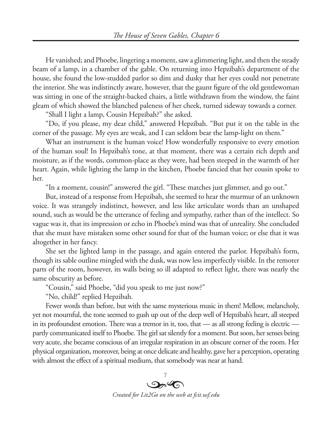He vanished; and Phoebe, lingering a moment, saw a glimmering light, and then the steady beam of a lamp, in a chamber of the gable. On returning into Hepzibah's department of the house, she found the low-studded parlor so dim and dusky that her eyes could not penetrate the interior. She was indistinctly aware, however, that the gaunt figure of the old gentlewoman was sitting in one of the straight-backed chairs, a little withdrawn from the window, the faint gleam of which showed the blanched paleness of her cheek, turned sideway towards a corner.

"Shall I light a lamp, Cousin Hepzibah?" she asked.

"Do, if you please, my dear child," answered Hepzibah. "But put it on the table in the corner of the passage. My eyes are weak, and I can seldom bear the lamp-light on them."

What an instrument is the human voice! How wonderfully responsive to every emotion of the human soul! In Hepzibah's tone, at that moment, there was a certain rich depth and moisture, as if the words, common-place as they were, had been steeped in the warmth of her heart. Again, while lighting the lamp in the kitchen, Phoebe fancied that her cousin spoke to her.

"In a moment, cousin!" answered the girl. "These matches just glimmer, and go out."

But, instead of a response from Hepzibah, she seemed to hear the murmur of an unknown voice. It was strangely indistinct, however, and less like articulate words than an unshaped sound, such as would be the utterance of feeling and sympathy, rather than of the intellect. So vague was it, that its impression or echo in Phoebe's mind was that of unreality. She concluded that she must have mistaken some other sound for that of the human voice; or else that it was altogether in her fancy.

She set the lighted lamp in the passage, and again entered the parlor. Hepzibah's form, though its sable outline mingled with the dusk, was now less imperfectly visible. In the remoter parts of the room, however, its walls being so ill adapted to reflect light, there was nearly the same obscurity as before.

"Cousin," said Phoebe, "did you speak to me just now?"

"No, child!" replied Hepzibah.

Fewer words than before, but with the same mysterious music in them! Mellow, melancholy, yet not mournful, the tone seemed to gush up out of the deep well of Hepzibah's heart, all steeped in its profoundest emotion. There was a tremor in it, too, that — as all strong feeling is electric partly communicated itself to Phoebe. The girl sat silently for a moment. But soon, her senses being very acute, she became conscious of an irregular respiration in an obscure corner of the room. Her physical organization, moreover, being at once delicate and healthy, gave her a perception, operating with almost the effect of a spiritual medium, that somebody was near at hand.